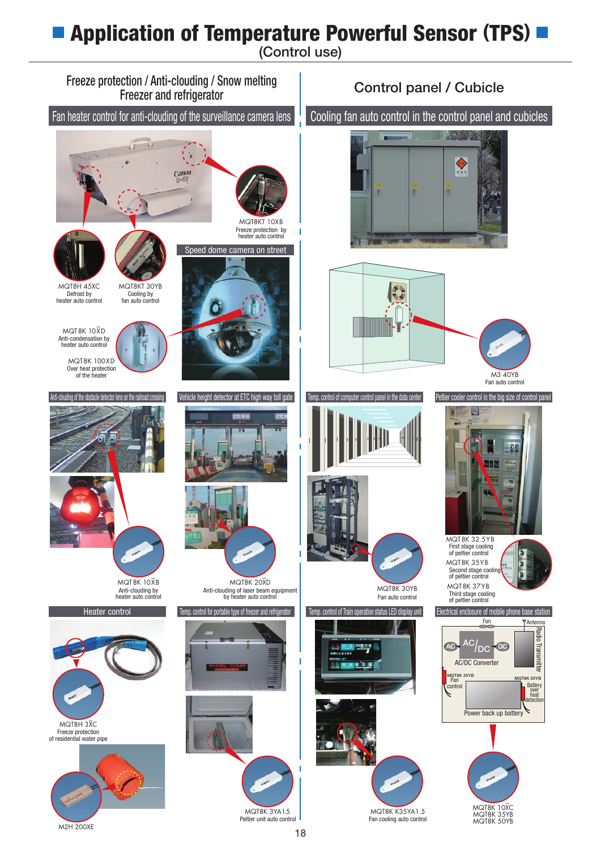## **■** Application of Temperature Powerful Sensor **(**TPS**) ■**

(Control use)



M2H 200XE